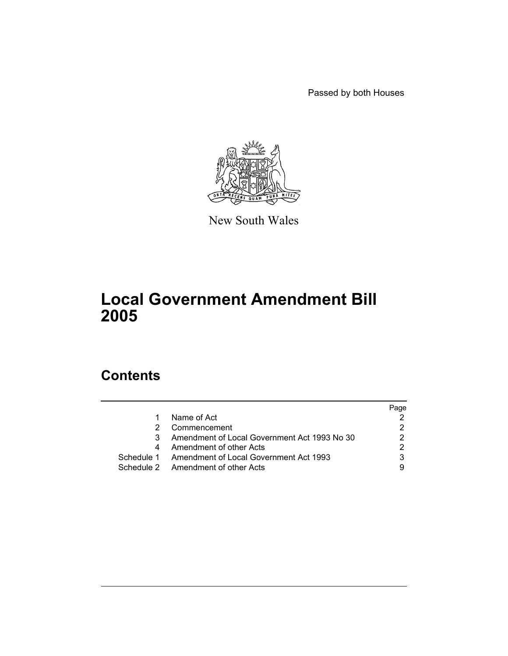Passed by both Houses



New South Wales

# **Local Government Amendment Bill 2005**

# **Contents**

|                                                   | Page |
|---------------------------------------------------|------|
| Name of Act                                       |      |
| Commencement                                      |      |
| Amendment of Local Government Act 1993 No 30      |      |
| Amendment of other Acts                           |      |
| Schedule 1 Amendment of Local Government Act 1993 | 3    |
| Schedule 2 Amendment of other Acts                |      |
|                                                   |      |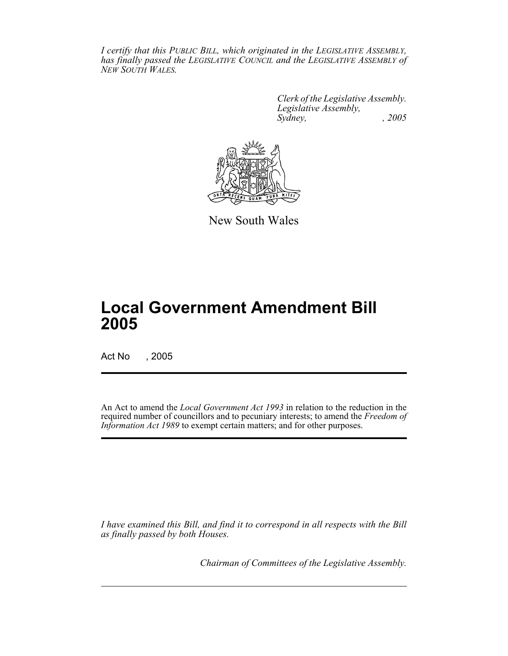*I certify that this PUBLIC BILL, which originated in the LEGISLATIVE ASSEMBLY, has finally passed the LEGISLATIVE COUNCIL and the LEGISLATIVE ASSEMBLY of NEW SOUTH WALES.*

> *Clerk of the Legislative Assembly. Legislative Assembly, Sydney, , 2005*



New South Wales

# **Local Government Amendment Bill 2005**

Act No , 2005

An Act to amend the *Local Government Act 1993* in relation to the reduction in the required number of councillors and to pecuniary interests; to amend the *Freedom of Information Act 1989* to exempt certain matters; and for other purposes.

*I have examined this Bill, and find it to correspond in all respects with the Bill as finally passed by both Houses.*

*Chairman of Committees of the Legislative Assembly.*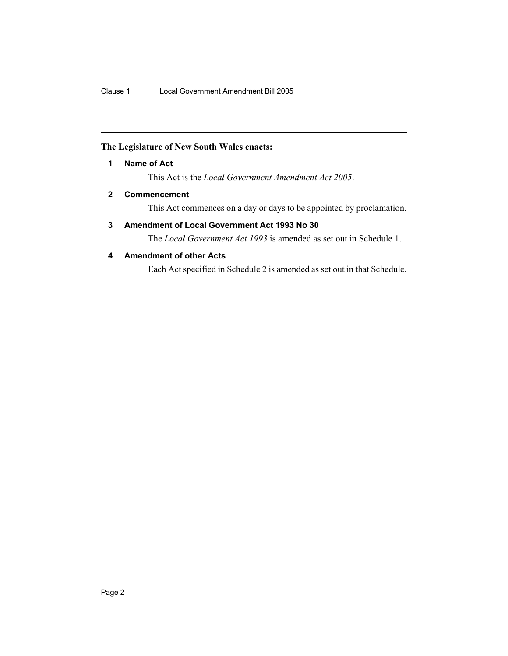# **The Legislature of New South Wales enacts:**

**1 Name of Act**

This Act is the *Local Government Amendment Act 2005*.

# **2 Commencement**

This Act commences on a day or days to be appointed by proclamation.

# **3 Amendment of Local Government Act 1993 No 30**

The *Local Government Act 1993* is amended as set out in Schedule 1.

# **4 Amendment of other Acts**

Each Act specified in Schedule 2 is amended as set out in that Schedule.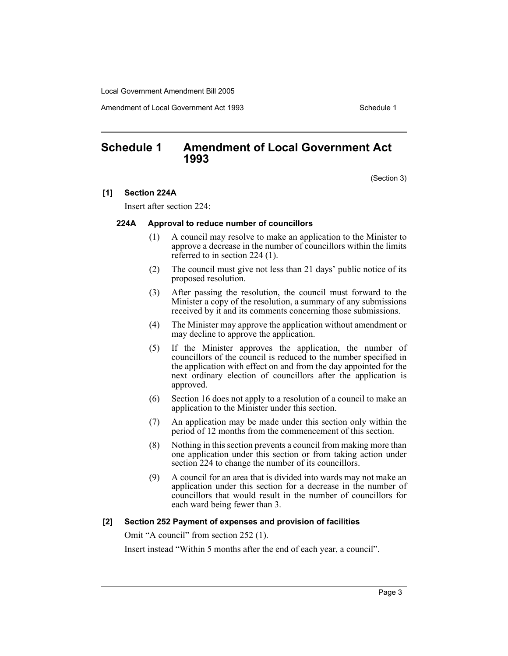Amendment of Local Government Act 1993

# **Schedule 1 Amendment of Local Government Act 1993**

(Section 3)

### **[1] Section 224A**

Insert after section 224:

### **224A Approval to reduce number of councillors**

- (1) A council may resolve to make an application to the Minister to approve a decrease in the number of councillors within the limits referred to in section 224 (1).
- (2) The council must give not less than 21 days' public notice of its proposed resolution.
- (3) After passing the resolution, the council must forward to the Minister a copy of the resolution, a summary of any submissions received by it and its comments concerning those submissions.
- (4) The Minister may approve the application without amendment or may decline to approve the application.
- (5) If the Minister approves the application, the number of councillors of the council is reduced to the number specified in the application with effect on and from the day appointed for the next ordinary election of councillors after the application is approved.
- (6) Section 16 does not apply to a resolution of a council to make an application to the Minister under this section.
- (7) An application may be made under this section only within the period of 12 months from the commencement of this section.
- (8) Nothing in this section prevents a council from making more than one application under this section or from taking action under section 224 to change the number of its councillors.
- (9) A council for an area that is divided into wards may not make an application under this section for a decrease in the number of councillors that would result in the number of councillors for each ward being fewer than 3.

### **[2] Section 252 Payment of expenses and provision of facilities**

Omit "A council" from section 252 (1).

Insert instead "Within 5 months after the end of each year, a council".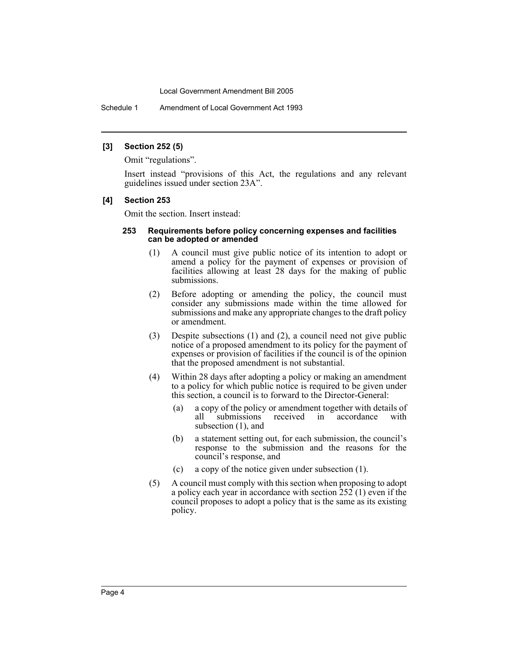Schedule 1 Amendment of Local Government Act 1993

### **[3] Section 252 (5)**

Omit "regulations".

Insert instead "provisions of this Act, the regulations and any relevant guidelines issued under section 23A".

# **[4] Section 253**

Omit the section. Insert instead:

#### **253 Requirements before policy concerning expenses and facilities can be adopted or amended**

- (1) A council must give public notice of its intention to adopt or amend a policy for the payment of expenses or provision of facilities allowing at least 28 days for the making of public submissions.
- (2) Before adopting or amending the policy, the council must consider any submissions made within the time allowed for submissions and make any appropriate changes to the draft policy or amendment.
- (3) Despite subsections (1) and (2), a council need not give public notice of a proposed amendment to its policy for the payment of expenses or provision of facilities if the council is of the opinion that the proposed amendment is not substantial.
- (4) Within 28 days after adopting a policy or making an amendment to a policy for which public notice is required to be given under this section, a council is to forward to the Director-General:
	- (a) a copy of the policy or amendment together with details of all submissions received in accordance with subsection  $(1)$ , and
	- (b) a statement setting out, for each submission, the council's response to the submission and the reasons for the council's response, and
	- (c) a copy of the notice given under subsection (1).
- (5) A council must comply with this section when proposing to adopt a policy each year in accordance with section 252 (1) even if the council proposes to adopt a policy that is the same as its existing policy.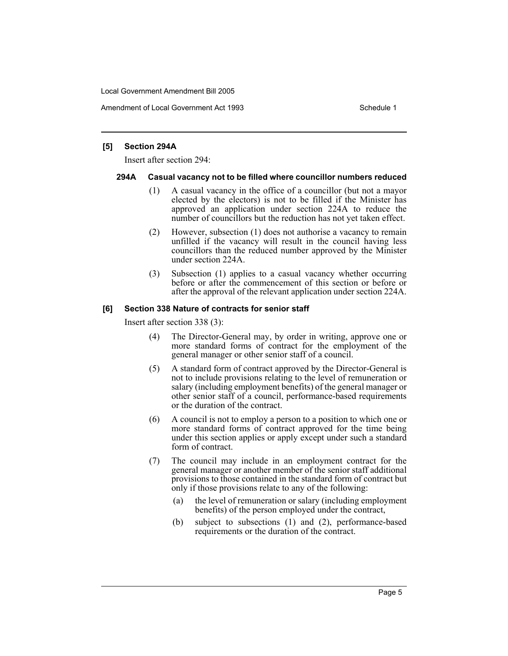Amendment of Local Government Act 1993 **Schedule 1** Schedule 1

### **[5] Section 294A**

Insert after section 294:

### **294A Casual vacancy not to be filled where councillor numbers reduced**

- (1) A casual vacancy in the office of a councillor (but not a mayor elected by the electors) is not to be filled if the Minister has approved an application under section 224A to reduce the number of councillors but the reduction has not yet taken effect.
- (2) However, subsection (1) does not authorise a vacancy to remain unfilled if the vacancy will result in the council having less councillors than the reduced number approved by the Minister under section 224A.
- (3) Subsection (1) applies to a casual vacancy whether occurring before or after the commencement of this section or before or after the approval of the relevant application under section 224A.

# **[6] Section 338 Nature of contracts for senior staff**

Insert after section 338 (3):

- (4) The Director-General may, by order in writing, approve one or more standard forms of contract for the employment of the general manager or other senior staff of a council.
- (5) A standard form of contract approved by the Director-General is not to include provisions relating to the level of remuneration or salary (including employment benefits) of the general manager or other senior staff of a council, performance-based requirements or the duration of the contract.
- (6) A council is not to employ a person to a position to which one or more standard forms of contract approved for the time being under this section applies or apply except under such a standard form of contract.
- (7) The council may include in an employment contract for the general manager or another member of the senior staff additional provisions to those contained in the standard form of contract but only if those provisions relate to any of the following:
	- (a) the level of remuneration or salary (including employment benefits) of the person employed under the contract,
	- (b) subject to subsections (1) and (2), performance-based requirements or the duration of the contract.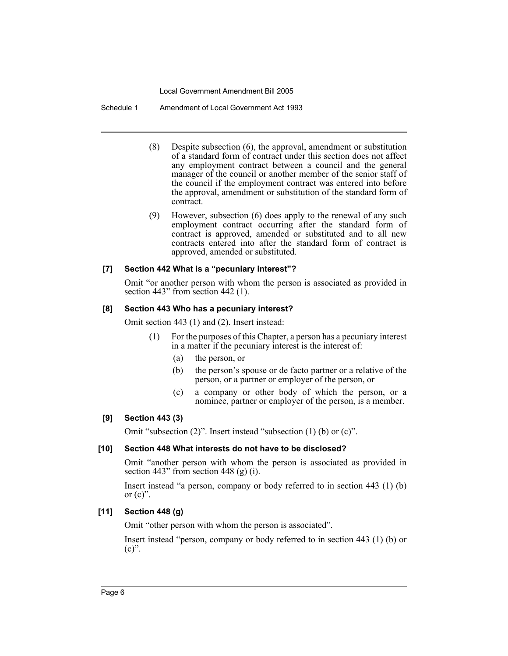Schedule 1 Amendment of Local Government Act 1993

- (8) Despite subsection (6), the approval, amendment or substitution of a standard form of contract under this section does not affect any employment contract between a council and the general manager of the council or another member of the senior staff of the council if the employment contract was entered into before the approval, amendment or substitution of the standard form of contract.
- (9) However, subsection (6) does apply to the renewal of any such employment contract occurring after the standard form of contract is approved, amended or substituted and to all new contracts entered into after the standard form of contract is approved, amended or substituted.

# **[7] Section 442 What is a "pecuniary interest"?**

Omit "or another person with whom the person is associated as provided in section 443" from section 442 (1).

### **[8] Section 443 Who has a pecuniary interest?**

Omit section 443 (1) and (2). Insert instead:

- (1) For the purposes of this Chapter, a person has a pecuniary interest in a matter if the pecuniary interest is the interest of:
	- (a) the person, or
	- (b) the person's spouse or de facto partner or a relative of the person, or a partner or employer of the person, or
	- (c) a company or other body of which the person, or a nominee, partner or employer of the person, is a member.

### **[9] Section 443 (3)**

Omit "subsection (2)". Insert instead "subsection (1) (b) or (c)".

# **[10] Section 448 What interests do not have to be disclosed?**

Omit "another person with whom the person is associated as provided in section 443" from section 448 (g)  $(i)$ .

Insert instead "a person, company or body referred to in section 443 (1) (b) or  $(c)$ ".

### **[11] Section 448 (g)**

Omit "other person with whom the person is associated".

Insert instead "person, company or body referred to in section 443 (1) (b) or  $(c)$ ".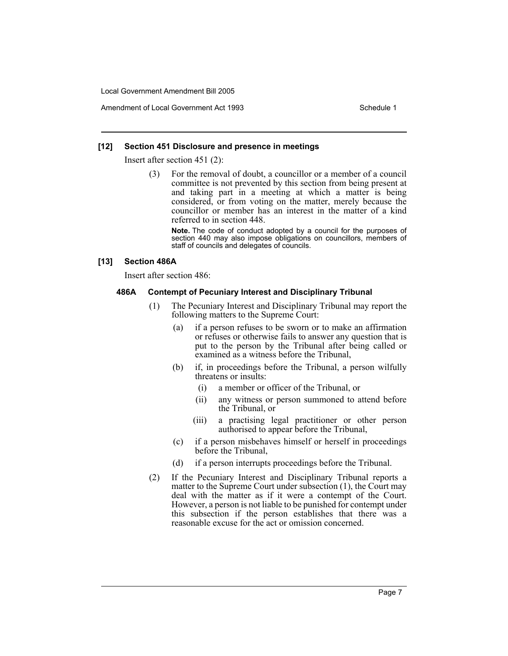### **[12] Section 451 Disclosure and presence in meetings**

Insert after section 451 (2):

(3) For the removal of doubt, a councillor or a member of a council committee is not prevented by this section from being present at and taking part in a meeting at which a matter is being considered, or from voting on the matter, merely because the councillor or member has an interest in the matter of a kind referred to in section 448.

**Note.** The code of conduct adopted by a council for the purposes of section 440 may also impose obligations on councillors, members of staff of councils and delegates of councils.

### **[13] Section 486A**

Insert after section 486:

### **486A Contempt of Pecuniary Interest and Disciplinary Tribunal**

- (1) The Pecuniary Interest and Disciplinary Tribunal may report the following matters to the Supreme Court:
	- (a) if a person refuses to be sworn or to make an affirmation or refuses or otherwise fails to answer any question that is put to the person by the Tribunal after being called or examined as a witness before the Tribunal,
	- (b) if, in proceedings before the Tribunal, a person wilfully threatens or insults:
		- (i) a member or officer of the Tribunal, or
		- (ii) any witness or person summoned to attend before the Tribunal, or
		- (iii) a practising legal practitioner or other person authorised to appear before the Tribunal,
	- (c) if a person misbehaves himself or herself in proceedings before the Tribunal,
	- (d) if a person interrupts proceedings before the Tribunal.
- (2) If the Pecuniary Interest and Disciplinary Tribunal reports a matter to the Supreme Court under subsection (1), the Court may deal with the matter as if it were a contempt of the Court. However, a person is not liable to be punished for contempt under this subsection if the person establishes that there was a reasonable excuse for the act or omission concerned.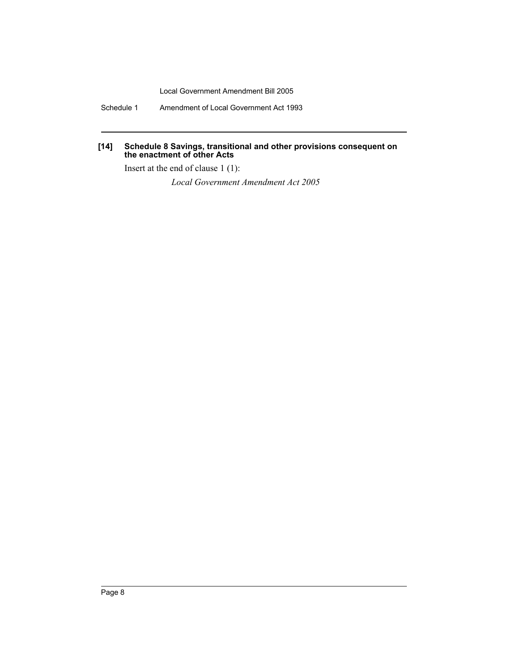Schedule 1 Amendment of Local Government Act 1993

# **[14] Schedule 8 Savings, transitional and other provisions consequent on the enactment of other Acts**

Insert at the end of clause 1 (1):

*Local Government Amendment Act 2005*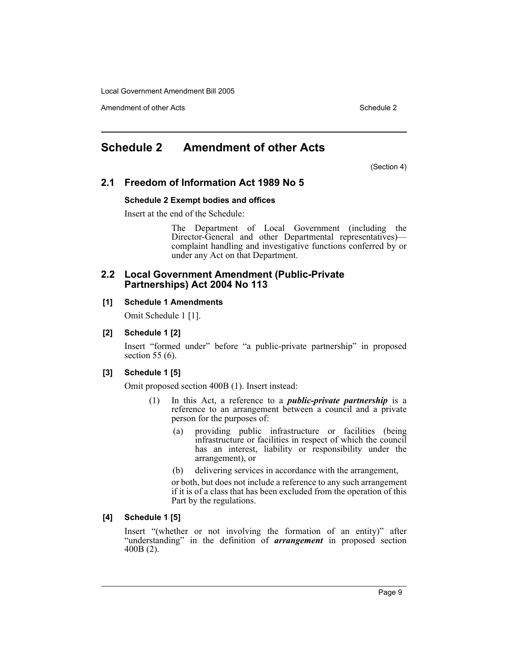Amendment of other Acts **Schedule 2** and the 2

# **Schedule 2 Amendment of other Acts**

(Section 4)

# **2.1 Freedom of Information Act 1989 No 5**

### **Schedule 2 Exempt bodies and offices**

Insert at the end of the Schedule:

The Department of Local Government (including the Director-General and other Departmental representatives) complaint handling and investigative functions conferred by or under any Act on that Department.

### **2.2 Local Government Amendment (Public-Private Partnerships) Act 2004 No 113**

# **[1] Schedule 1 Amendments**

Omit Schedule 1 [1].

# **[2] Schedule 1 [2]**

Insert "formed under" before "a public-private partnership" in proposed section 55 (6).

### **[3] Schedule 1 [5]**

Omit proposed section 400B (1). Insert instead:

- (1) In this Act, a reference to a *public-private partnership* is a reference to an arrangement between a council and a private person for the purposes of:
	- (a) providing public infrastructure or facilities (being infrastructure or facilities in respect of which the council has an interest, liability or responsibility under the arrangement), or
	- (b) delivering services in accordance with the arrangement,

or both, but does not include a reference to any such arrangement if it is of a class that has been excluded from the operation of this Part by the regulations.

### **[4] Schedule 1 [5]**

Insert "(whether or not involving the formation of an entity)" after "understanding" in the definition of *arrangement* in proposed section 400B (2).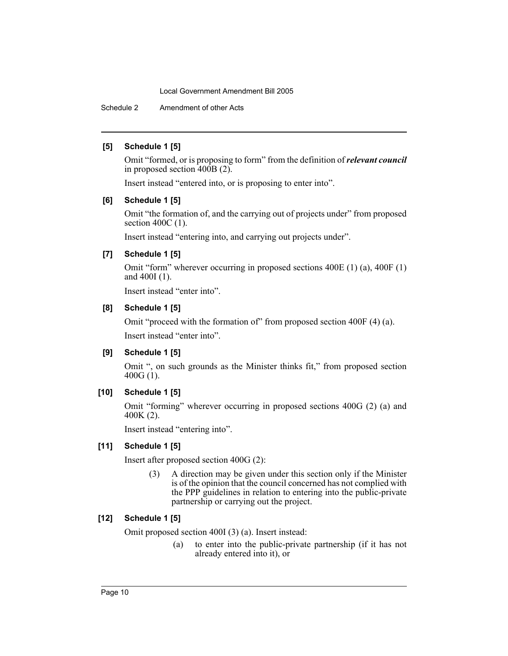Schedule 2 Amendment of other Acts

# **[5] Schedule 1 [5]**

Omit "formed, or is proposing to form" from the definition of *relevant council* in proposed section  $400B(2)$ .

Insert instead "entered into, or is proposing to enter into".

# **[6] Schedule 1 [5]**

Omit "the formation of, and the carrying out of projects under" from proposed section 400C (1).

Insert instead "entering into, and carrying out projects under".

# **[7] Schedule 1 [5]**

Omit "form" wherever occurring in proposed sections 400E (1) (a), 400F (1) and 400I (1).

Insert instead "enter into".

# **[8] Schedule 1 [5]**

Omit "proceed with the formation of" from proposed section 400F (4) (a). Insert instead "enter into".

# **[9] Schedule 1 [5]**

Omit ", on such grounds as the Minister thinks fit," from proposed section 400G $(1)$ .

# **[10] Schedule 1 [5]**

Omit "forming" wherever occurring in proposed sections 400G (2) (a) and 400K (2).

Insert instead "entering into".

### **[11] Schedule 1 [5]**

Insert after proposed section 400G (2):

(3) A direction may be given under this section only if the Minister is of the opinion that the council concerned has not complied with the PPP guidelines in relation to entering into the public-private partnership or carrying out the project.

# **[12] Schedule 1 [5]**

Omit proposed section 400I (3) (a). Insert instead:

(a) to enter into the public-private partnership (if it has not already entered into it), or